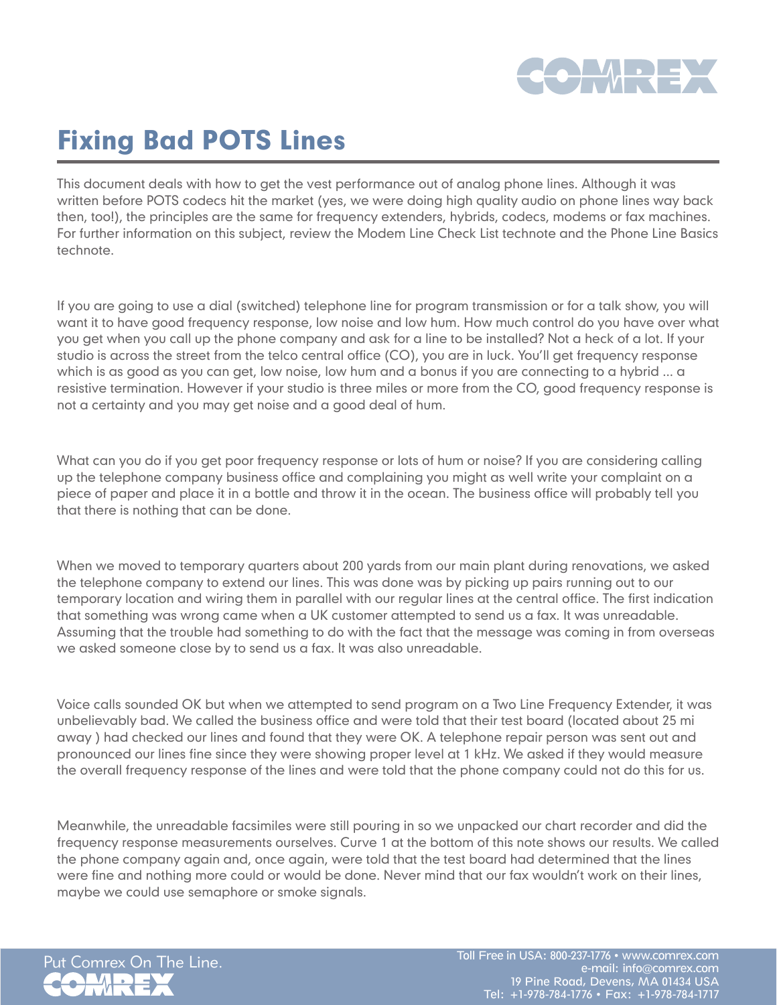

## Fixing Bad POTS Lines

This document deals with how to get the vest performance out of analog phone lines. Although it was written before POTS codecs hit the market (yes, we were doing high quality audio on phone lines way back then, too!), the principles are the same for frequency extenders, hybrids, codecs, modems or fax machines. For further information on this subject, review the Modem Line Check List technote and the Phone Line Basics technote.

If you are going to use a dial (switched) telephone line for program transmission or for a talk show, you will want it to have good frequency response, low noise and low hum. How much control do you have over what you get when you call up the phone company and ask for a line to be installed? Not a heck of a lot. If your studio is across the street from the telco central office (CO), you are in luck. You'll get frequency response which is as good as you can get, low noise, low hum and a bonus if you are connecting to a hybrid ... a resistive termination. However if your studio is three miles or more from the CO, good frequency response is not a certainty and you may get noise and a good deal of hum.

What can you do if you get poor frequency response or lots of hum or noise? If you are considering calling up the telephone company business office and complaining you might as well write your complaint on a piece of paper and place it in a bottle and throw it in the ocean. The business office will probably tell you that there is nothing that can be done.

When we moved to temporary quarters about 200 yards from our main plant during renovations, we asked the telephone company to extend our lines. This was done was by picking up pairs running out to our temporary location and wiring them in parallel with our regular lines at the central office. The first indication that something was wrong came when a UK customer attempted to send us a fax. It was unreadable. Assuming that the trouble had something to do with the fact that the message was coming in from overseas we asked someone close by to send us a fax. It was also unreadable.

Voice calls sounded OK but when we attempted to send program on a Two Line Frequency Extender, it was unbelievably bad. We called the business office and were told that their test board (located about 25 mi away ) had checked our lines and found that they were OK. A telephone repair person was sent out and pronounced our lines fine since they were showing proper level at 1 kHz. We asked if they would measure the overall frequency response of the lines and were told that the phone company could not do this for us.

Meanwhile, the unreadable facsimiles were still pouring in so we unpacked our chart recorder and did the frequency response measurements ourselves. Curve 1 at the bottom of this note shows our results. We called the phone company again and, once again, were told that the test board had determined that the lines were fine and nothing more could or would be done. Never mind that our fax wouldn't work on their lines, maybe we could use semaphore or smoke signals.

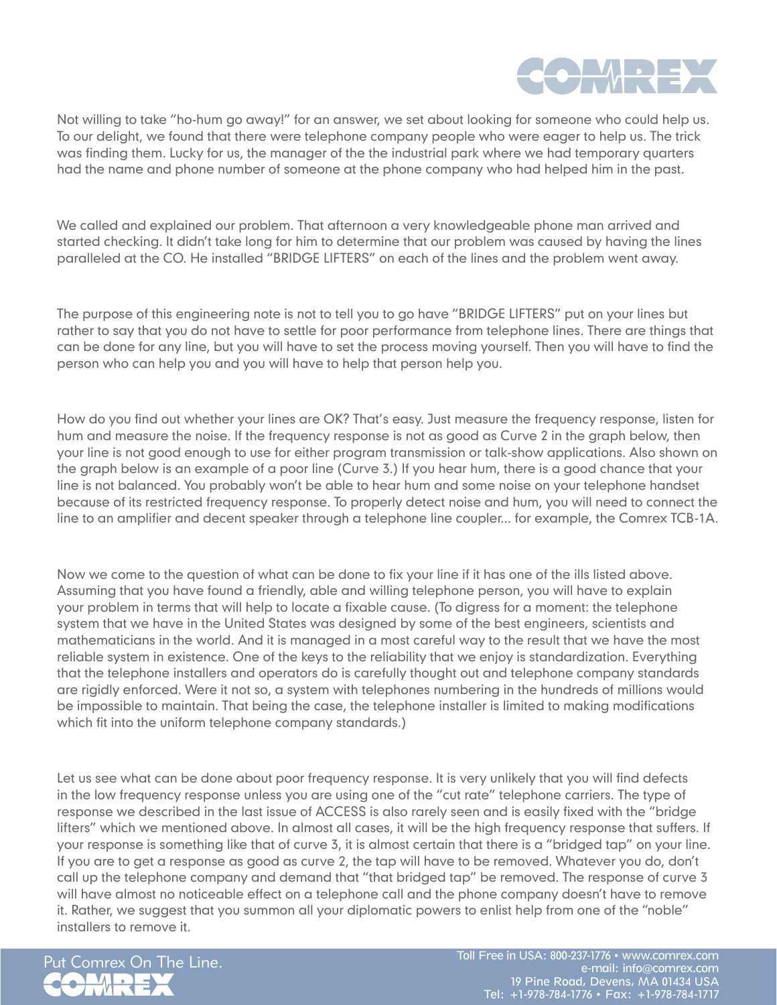

Not willing to take "ho-hum go away!" for an answer, we set about looking for someone who could help us. To our delight, we found that there were telephone company people who were eager to help us. The trick was finding them. Lucky for us, the manager of the the industrial park where we had temporary quarters had the name and phone number of someone at the phone company who had helped him in the past.

We called and explained our problem. That afternoon a very knowledgeable phone man arrived and started checking. It didn't take long for him to determine that our problem was caused by having the lines paralleled at the CO. He installed "BRIDGE LIFTERS" on each of the lines and the problem went away.

The purpose of this engineering note is not to tell you to go have "BRIDGE LIFTERS" put on your lines but rather to say that you do not have to settle for poor performance from telephone lines. There are things that can be done for any line, but you will have to set the process moving yourself. Then you will have to find the person who can help you and you will have to help that person help you.

How do you find out whether your lines are OK? That's easy. Just measure the frequency response, listen for hum and measure the noise. If the frequency response is not as good as Curve 2 in the graph below, then your line is not good enough to use for either program transmission or talk-show applications. Also shown on the graph below is an example of a poor line (Curve 3.) If you hear hum, there is a good chance that your line is not balanced. You probably won't be able to hear hum and some noise on your telephone handset because of its restricted frequency response. To properly detect noise and hum, you will need to connect the line to an amplifier and decent speaker through a telephone line coupler... for example, the Comrex TCB-1A.

Now we come to the question of what can be done to fix your line if it has one of the ills listed above. Assuming that you have found a friendly, able and willing telephone person, you will have to explain your problem in terms that will help to locate a fixable cause. (To digress for a moment: the telephone system that we have in the United States was designed by some of the best engineers, scientists and mathematicians in the world. And it is managed in a most careful way to the result that we have the most reliable system in existence. One of the keys to the reliability that we enjoy is standardization. Everything that the telephone installers and operators do is carefully thought out and telephone company standards are rigidly enforced. Were it not so, a system with telephones numbering in the hundreds of millions would be impossible to maintain. That being the case, the telephone installer is limited to making modifications which fit into the uniform telephone company standards.)

Let us see what can be done about poor frequency response. It is very unlikely that you will find defects in the low frequency response unless you are using one of the "cut rate" telephone carriers. The type of response we described in the last issue of ACCESS is also rarely seen and is easily fixed with the "bridge lifters" which we mentioned above. In almost all cases, it will be the high frequency response that suffers. If your response is something like that of curve 3, it is almost certain that there is a "bridged tap" on your line. If you are to get a response as good as curve 2, the tap will have to be removed. Whatever you do, don't call up the telephone company and demand that "that bridged tap" be removed. The response of curve 3 will have almost no noticeable effect on a telephone call and the phone company doesn't have to remove it. Rather, we suggest that you summon all your diplomatic powers to enlist help from one of the "noble" installers to remove it.



Put Comrex On The Line. Toll Free in USA: 800-237-1776 • www.comrex.com e-mail: info@comrex.com 19 Pine Road, Devens, MA 01434 USA Tel: +1-978-784-1776 • Fax: +1-978-784-1717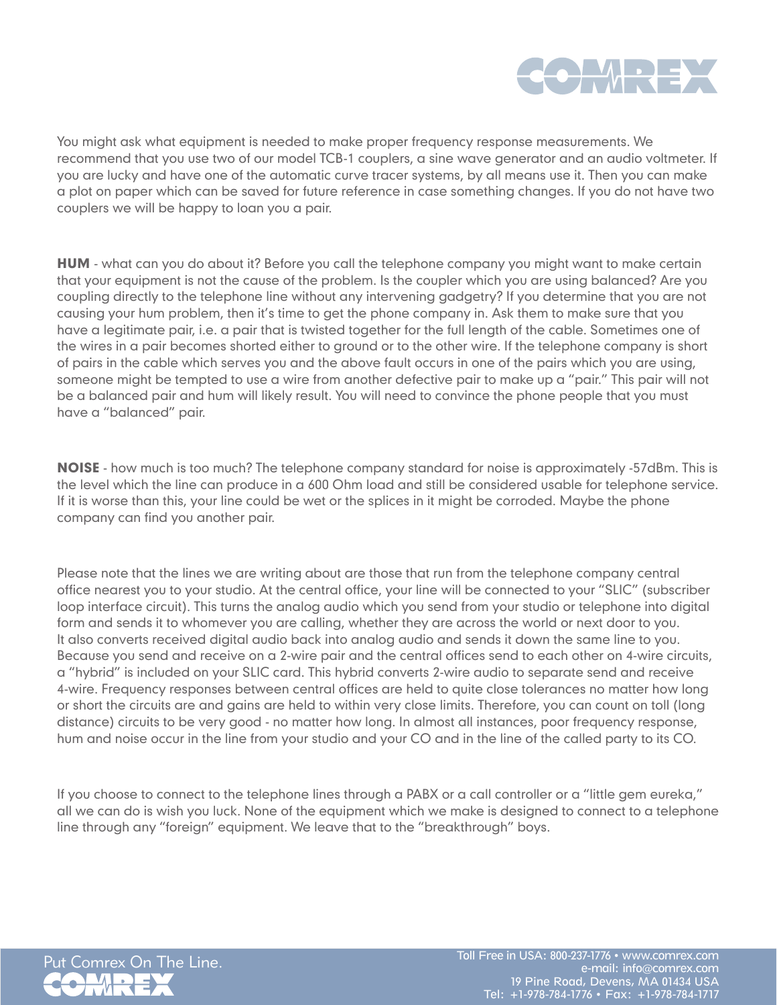

You might ask what equipment is needed to make proper frequency response measurements. We recommend that you use two of our model TCB-1 couplers, a sine wave generator and an audio voltmeter. If you are lucky and have one of the automatic curve tracer systems, by all means use it. Then you can make a plot on paper which can be saved for future reference in case something changes. If you do not have two couplers we will be happy to loan you a pair.

**HUM** - what can you do about it? Before you call the telephone company you might want to make certain that your equipment is not the cause of the problem. Is the coupler which you are using balanced? Are you coupling directly to the telephone line without any intervening gadgetry? If you determine that you are not causing your hum problem, then it's time to get the phone company in. Ask them to make sure that you have a legitimate pair, i.e. a pair that is twisted together for the full length of the cable. Sometimes one of the wires in a pair becomes shorted either to ground or to the other wire. If the telephone company is short of pairs in the cable which serves you and the above fault occurs in one of the pairs which you are using, someone might be tempted to use a wire from another defective pair to make up a "pair." This pair will not be a balanced pair and hum will likely result. You will need to convince the phone people that you must have a "balanced" pair.

NOISE - how much is too much? The telephone company standard for noise is approximately -57dBm. This is the level which the line can produce in a 600 Ohm load and still be considered usable for telephone service. If it is worse than this, your line could be wet or the splices in it might be corroded. Maybe the phone company can find you another pair.

Please note that the lines we are writing about are those that run from the telephone company central office nearest you to your studio. At the central office, your line will be connected to your "SLIC" (subscriber loop interface circuit). This turns the analog audio which you send from your studio or telephone into digital form and sends it to whomever you are calling, whether they are across the world or next door to you. It also converts received digital audio back into analog audio and sends it down the same line to you. Because you send and receive on a 2-wire pair and the central offices send to each other on 4-wire circuits, a "hybrid" is included on your SLIC card. This hybrid converts 2-wire audio to separate send and receive 4-wire. Frequency responses between central offices are held to quite close tolerances no matter how long or short the circuits are and gains are held to within very close limits. Therefore, you can count on toll (long distance) circuits to be very good - no matter how long. In almost all instances, poor frequency response, hum and noise occur in the line from your studio and your CO and in the line of the called party to its CO.

If you choose to connect to the telephone lines through a PABX or a call controller or a "little gem eureka," all we can do is wish you luck. None of the equipment which we make is designed to connect to a telephone line through any "foreign" equipment. We leave that to the "breakthrough" boys.

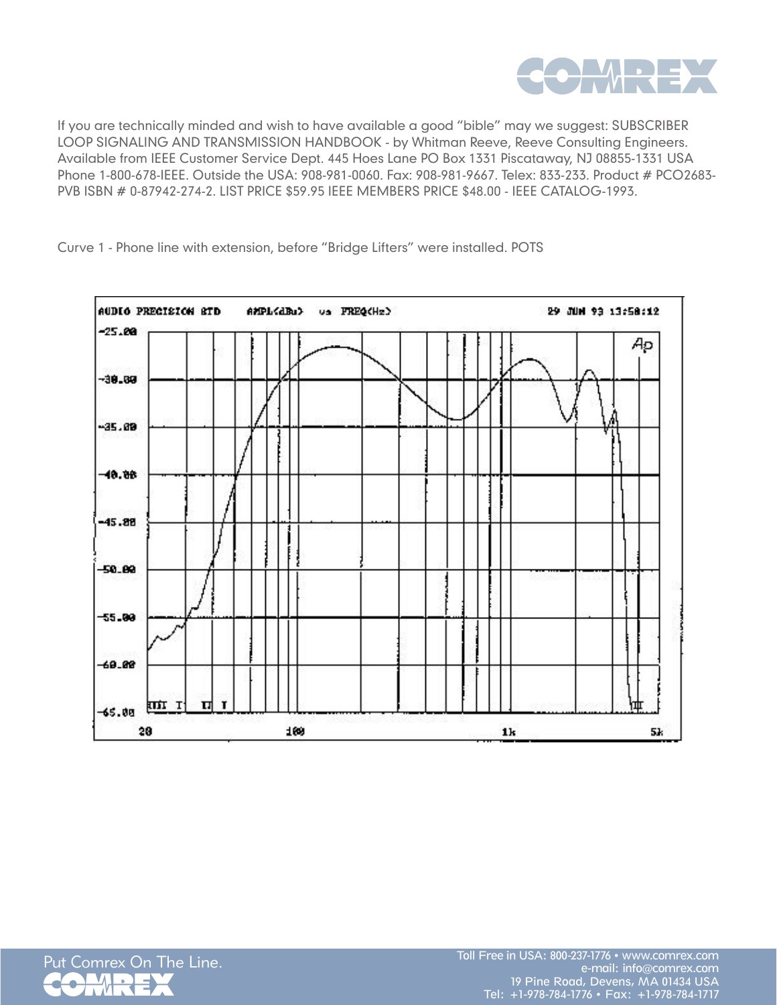

If you are technically minded and wish to have available a good "bible" may we suggest: SUBSCRIBER LOOP SIGNALING AND TRANSMISSION HANDBOOK - by Whitman Reeve, Reeve Consulting Engineers. Available from IEEE Customer Service Dept. 445 Hoes Lane PO Box 1331 Piscataway, NJ 08855-1331 USA Phone 1-800-678-IEEE. Outside the USA: 908-981-0060. Fax: 908-981-9667. Telex: 833-233. Product # PCO2683- PVB ISBN # 0-87942-274-2. LIST PRICE \$59.95 IEEE MEMBERS PRICE \$48.00 - IEEE CATALOG-1993.



Curve 1 - Phone line with extension, before "Bridge Lifters" were installed. POTS

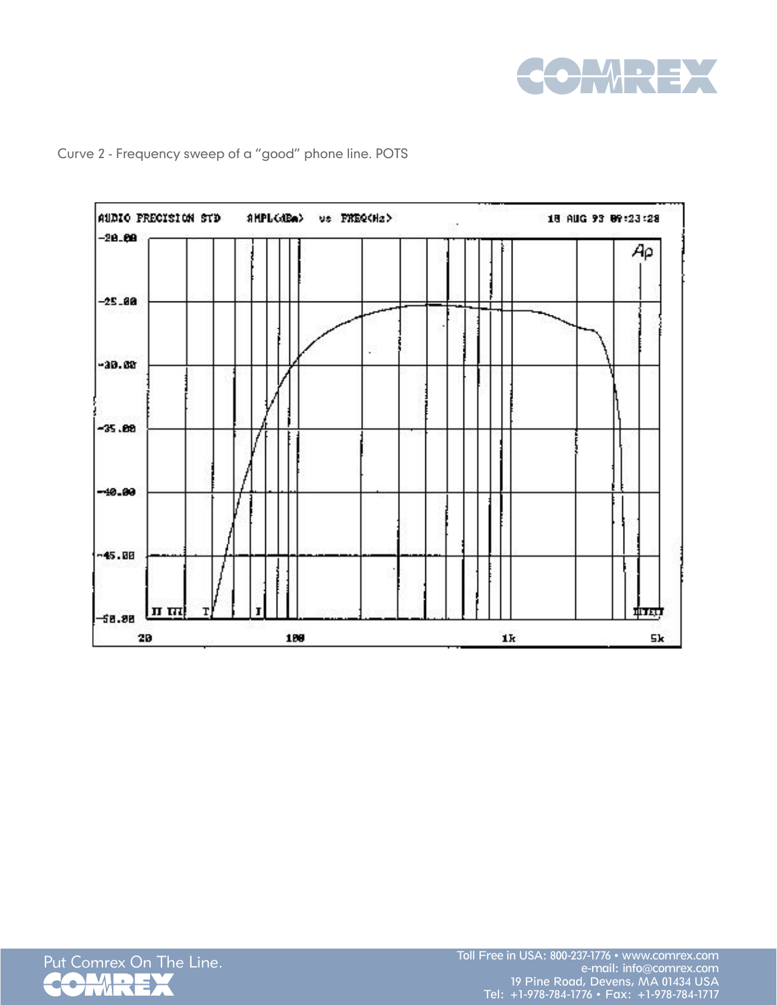



Curve 2 - Frequency sweep of a "good" phone line. POTS